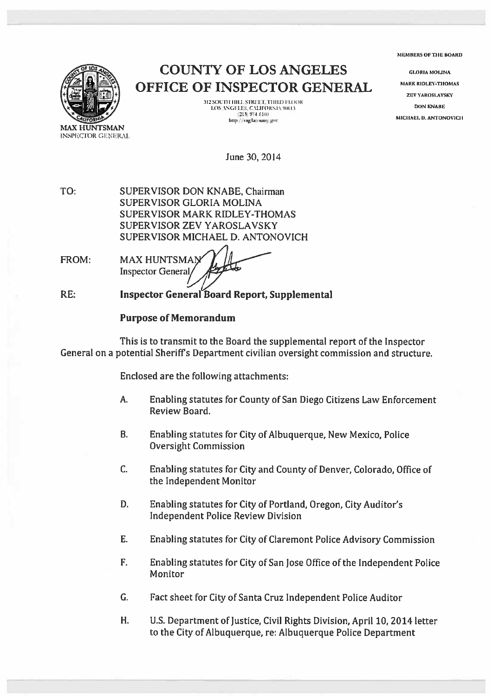IIIIIlRS 01: TIlE HOARD



COUNTY OF LOS ANGELES OFFICE OF INSPECTOR GENERAL

> 312 SOUTH HILL STREET, THIRD FLOOR<br>LOS ANGHLES, CALIFORNIA 90013<br>(213) 974-6100 http://oig.lacounty.gov

**GLORIA MOLINA MARK RIDLEY-THOMAS ZEV YAROSLAVSKY DON KNABE** MICHAEL D. ANTONOVICII

June 30, 2014

TO: SUPERVISOR DON KNABE, Chairman SUPERVISOR GLORIA MOLINA SUPERVISOR MARK RIDLEY-THOMAS SUPERVISOR ZEV YAROSLAVSKY SUPERVISOR MICHAEL D. ANTONOVICH

FROM: MAX HUNTSMAN Inspector General

RE: Inspector General Board Report Supplemental

# Purpose of Memorandum

This is to transmit to the Board the supplemental repor<sup>t</sup> of the Inspector General on <sup>a</sup> potential Sheriffs Department civilian oversight commission and structure.

Enclosed are the following attachments:

- A. Enabling statutes for County of San Diego Citizens Law Enforcement Review Board.
- B. Enabling statutes for City of Albuquerque, New Mexico, Police Oversight Commission
- C. Enabling statutes for City and County of Denver, Colorado, Office of the Independent Monitor
- D. Enabling statutes for City of Portland, Oregon, City Auditor's Independent Police Review Division
- E. Enabling statutes for City of Claremont Police Advisory Commission
- F. Enabling statutes for City of San Jose Office of the Independent Police **Monitor**
- G. Fact sheet for City of Santa Cruz Independent Police Auditor
- H. U.S. Department of Justice, Civil Rights Division, April 10, 2014 letter to the City of Albuquerque, re: Albuquerque Police Department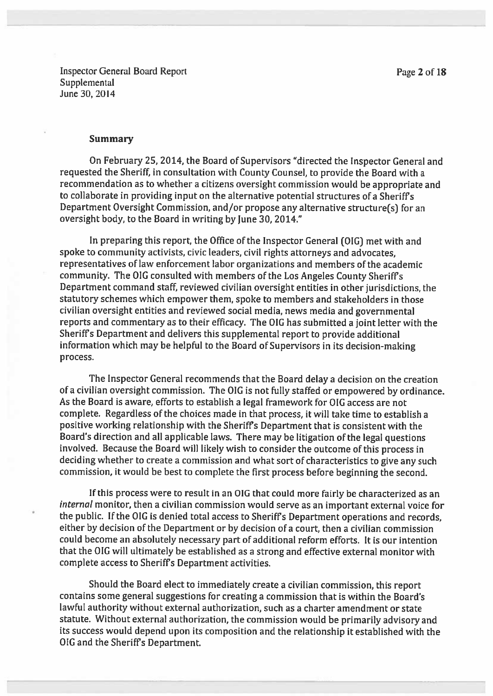Inspector General Board Report **Page 2 of 18 Supplemental** June 30, 2014

#### Summary

On February 25, 2014, the Board of Supervisors "directed the Inspector General and requested the Sheriff, in consultation with County Counsel, to provide the Board with <sup>a</sup> recommendation as to whether <sup>a</sup> citizens oversight commission would be appropriate and to collaborate in providing input on the alternative potential structures of a Sheriff's Department Oversight Commission, and/or propose any alternative structure(s) for an oversight body, to the Board in writing by June 30, 2014."

In preparing this report, the Office of the Inspector General (OIG) met with and spoke to community activists, civic leaders, civil rights attorneys and advocates, representatives of law enforcement labor organizations and members of the academic community. The OIG consulted with members of the Los Angeles County Sheriff's Department command staff, reviewed civilian oversight entities in other jurisdictions, the statutory schemes which empower them, spoke to members and stakeholders in those civilian oversight entities and reviewed social media, news media and governmental reports and commentary as to their efficacy. The <sup>010</sup> has submitted <sup>a</sup> joint letter with the Sheriffs Department and delivers this supplemental report to provide additional information which may be helpful to the Board of Supervisors in its decision-making process.

The Inspector General recommends that the Board delay <sup>a</sup> decision on the creation of <sup>a</sup> civilian oversight commission. The <sup>010</sup> is not fully staffed or empowere<sup>d</sup> by ordinance. As the Board is aware, efforts to establish a legal framework for OIG access are not complete. Regardless of the choices made in that process, it will take time to establish <sup>a</sup> positive working relationship with the Sheriffs Department that is consistent with the Board's direction and all applicable laws. There may be litigation of the legal questions involved. Because the Board will likely wish to consider the outcome of this process in deciding whether to create <sup>a</sup> commission and what sort of characteristics to <sup>g</sup>ive any such commission, it would be best to complete the first process before beginning the second.

If this process were to result in an OIG that could more fairly be characterized as an internal monitor, then <sup>a</sup> civilian commission would serve as an important external voice for the public. If the OIG is denied total access to Sheriff's Department operations and records, either by decision of the Department or by decision of a court, then a civilian commission could become an absolutely necessary par<sup>t</sup> of additional reform efforts. It is our intention that the 010 will ultimately be established as <sup>a</sup> strong and effective external monitor with complete access to Sheriffs Department activities.

Should the Board elect to immediately create <sup>a</sup> civilian commission, this report contains some general suggestions for creating <sup>a</sup> commission that is within the Board's lawful authority without external authorization, such as <sup>a</sup> charter amendment or state statute. Without external authorization, the commission would be primarily advisory and its success would depend upon its composition and the relationship it established with the GIG and the Sheriffs Department.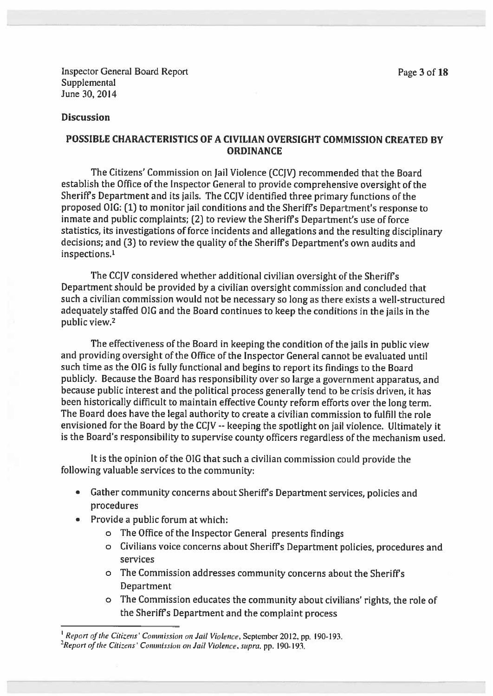Inspector General Board Report **Page 3 of 18 Supplemental** June 30, 2014

## **Discussion**

## POSSIBLE CHARACTERISTICS OF A CIVILIAN OVERSIGHT COMMISSION CREATED BY **ORDINANCE**

The Citizens' Commission on Jail Violence (CCIV) recommended that the Board establish the Office of the Inspector General to provide comprehensive oversight of the Sheriff's Department and its jails. The CCIV identified three primary functions of the proposed OIG: (1) to monitor jail conditions and the Sheriff's Department's response to inmate and public complaints; (2) to review the Sheriffs Department's use of force statistics, its investigations of force incidents and allegations and the resulting disciplinary decisions; and (3) to review the quality of the Sheriffs Department's own audits and inspections.1

The CCIV considered whether additional civilian oversight of the Sheriffs Department should be provided by <sup>a</sup> civilian oversight commission and concluded that such <sup>a</sup> civilian commission would not be necessary so long as there exists <sup>a</sup> well-structured adequately staffed OIG and the Board continues to keep the conditions in the jails in the public view.2

The effectiveness of the Board in keeping the condition of the jails in public view and providing oversight of the Office of the Inspector General cannot be evaluated until such time as the OIG is fully functional and begins to report its findings to the Board publicly. Because the Board has responsibility over so large <sup>a</sup> governmen<sup>t</sup> apparatus, and because public interest and the political process generally tend to be crisis driven, it has been historically difficult to maintain effective County reform efforts over the long term. The Board does have the legal authority to create <sup>a</sup> civilian commission to fulfill the role envisioned for the Board by the CCJV -- keeping the spotlight on jail violence. Ultimately it is the Board's responsibility to supervise county officers regardless of the mechanism used.

It is the opinion of the OIG that such <sup>a</sup> civilian commission could provide the following valuable services to the community:

- Gather community concerns about Sheriff's Department services, policies and procedures
- Provide <sup>a</sup> public forum at which:
	- <sup>o</sup> The Office of the Inspector General presents findings
	- <sup>o</sup> Civilians voice concerns about Sheriffs Department policies, procedures and services
	- <sup>o</sup> The Commission addresses community concerns about the Sheriffs Department
	- <sup>o</sup> The Commission educates the community about civilians' rights, the role of the Sheriffs Department and the complaint process

<sup>&</sup>lt;sup>1</sup> Report of the Citizens' Commission on Jail Violence, September 2012, pp. 190-193.  ${}^{2}$ Report of the Citizens' Commission on Jail Violence, supra, pp. 190-193.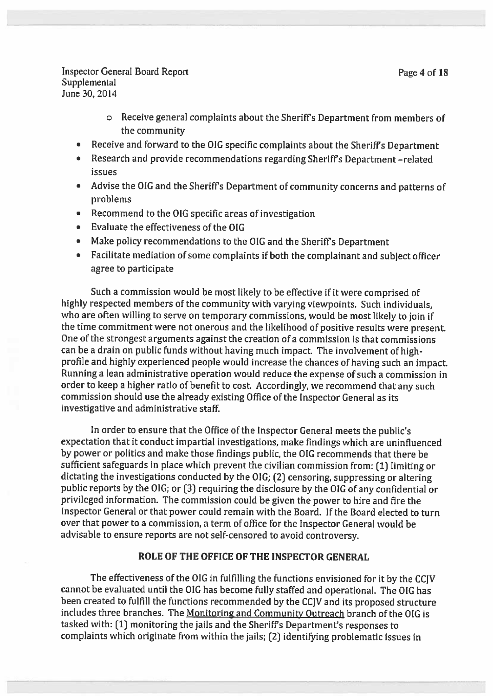Inspector General Board Report **Page 4 of 18 Supplemental** June 30, 2014

- <sup>o</sup> Receive general complaints about the Sheriffs Department from members of the community
- Receive and forward to the OIG specific complaints about the Sheriffs Department
- Research and provide recommendations regarding Sheriffs Department —related issues
- Advise the OlG and the Sheriffs Department of community concerns and patterns of problems
- •Recommend to the OIG specific areas of investigation
- Evaluate the effectiveness of the OIG
- Make policy recommendations to the OIG and the Sheriffs Department
- • Facilitate mediation of some complaints if both the complainant and subject officer agree to participate

Such <sup>a</sup> commission would be most likely to be effective if it were comprised of highly respected members of the community with varying viewpoints. Such individuals, who are often willing to serve on temporary commissions, would be most likely to join if the time commitment were not onerous and the likelihood of positive results were present One of the strongest arguments against the creation of a commission is that commissions can be <sup>a</sup> drain on public funds without having much impact. The involvement of highprofile and highly experienced people would increase the chances of having such an impact. Running <sup>a</sup> lean administrative operation would reduce the expense of such <sup>a</sup> commission in order to keep a higher ratio of benefit to cost. Accordingly, we recommend that any such commission should use the already existing Office of the Inspector General as its investigative and administrative staff.

In order to ensure that the Office of the Inspector General meets the public's expectation that it conduct impartial investigations, make findings which are uninfluenced by power or politics and make those findings public, the OIG recommends that there be sufficient safeguards in <sup>p</sup>lace which preven<sup>t</sup> the civilian commission from: (1] limiting or dictating the investigations conducted by the OlG; (2) censoring, suppressing or altering public reports by the OIG; or (3) requiring the disclosure by the OIG of any confidential or privileged information. The commission could be <sup>g</sup>iven the power to hire and fire the Inspector General or that power could remain with the Board. If the Board elected to turn over that power to <sup>a</sup> commission, <sup>a</sup> term of office for the Inspector General would be advisable to ensure reports are not self-censored to avoid controversy.

### ROLE OF THE OFFICE OF THE INSPECTOR GENERAL

The effectiveness of the OIG in fulfilling the functions envisioned for it by the CCJV cannot be evaluated until the OIG has become fully staffed and operational. The OIG has been created to fulfill the functions recommended by the CCJV and its propose<sup>d</sup> structure includes three branches. The Monitoring and Community Outreach branch of the OIG is tasked with: (1) monitoring the jails and the Sheriffs Department's responses to complaints which originate from within the jails; (2) identifying problematic issues in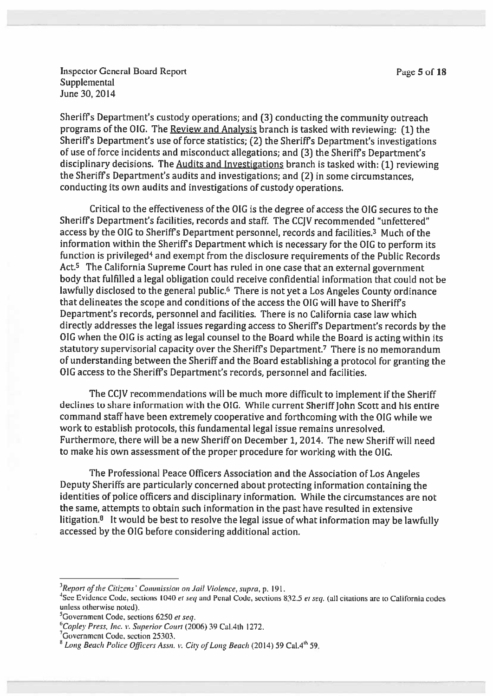Inspector General Board Report **Page 5 of 18 Supplemental** June 30, 2014

Sheriffs Department's custody operations; and [3] conducting the community outreach programs of the 01G. The Review and Analysis branch is tasked with reviewing: (1) the Sheriffs Department's use of force statistics; (2) the Sheriffs Department's investigations of use of force incidents and misconduct allegations; and [3] the Sheriffs Department's disciplinary decisions. The Audits and Investigations branch is tasked with: (1] reviewing the Sheriffs Department's audits and investigations; and [2] in some circumstances, conducting its own audits and investigations of custody operations.

Critical to the effectiveness of the GIG is the degree of access the OIG secures to the Sheriffs Department's facilities, records and staff. The CCIV recommended "unfettered" access by the OIG to Sheriffs Department personnel, records and facilities.3 Much of the information within the Sheriffs Department which is necessary for the OIG to perform its function is privileged<sup>4</sup> and exempt from the disclosure requirements of the Public Records Act.<sup>5</sup> The California Supreme Court has ruled in one case that an external government body that fulfilled <sup>a</sup> legal obligation could receive confidential information that could not be lawfully disclosed to the general public.<sup>6</sup> There is not yet a Los Angeles County ordinance that delineates the scope and conditions of the access the OIG will have to Sheriffs Department's records, personnel and facilities. There is no California case law which directly addresses the legal issues regarding access to Sheriffs Department's records by the GIG when the GIG is acting as legal counsel to the Board while the Hoard is acting within its statutory supervisorial capacity over the Sheriffs Department.7 There is no memorandum of understanding between the Sheriff and the Board establishing <sup>a</sup> protocol for granting the GIG access to the Sheriffs Department's records, personnel and facilities.

The CCIV recommendations will be much more difficult to implement if the Sheriff declines to share information with the 01G. While current Sheriff John Scott and his entire command staff have been extremely cooperative and forthcoming with the OIG while we work to establish protocols, this fundamental legal issue remains unresolved. Furthermore, there will be <sup>a</sup> new Sheriff on December 1,2014. The new Sheriff will need to make his own assessment of the proper procedure for working with the GIG.

The Professional Peace Officers Association and the Association of Los Angeles Deputy Sheriffs are particularly concerned about protecting information containing the identities of police officers and disciplinary information. While the circumstances are not the same, attempts to obtain such information in the pas<sup>t</sup> have resulted in extensive litigation.<sup>8</sup> It would be best to resolve the legal issue of what information may be lawfully accessed by the GIG before considering additional action.

 $3$ Report of the Citizens' Commission on Jail Violence, supra, p. 191.

<sup>&</sup>lt;sup>4</sup>See Evidence Code, sections 1040 et seq and Penal Code, sections 832.5 et seq. (all citations are to California codes unless otherwise noted).

 $5$ Government Code, sections 6250 et seq.

 $6$ Copley Press, Inc. v. Superior Court (2006) 39 Cal.4th 1272.

<sup>&</sup>lt;sup>7</sup>Government Code, section 25303.

<sup>&</sup>lt;sup>8</sup> Long Beach Police Officers Assn. v. City of Long Beach (2014) 59 Cal.4<sup>th</sup> 59.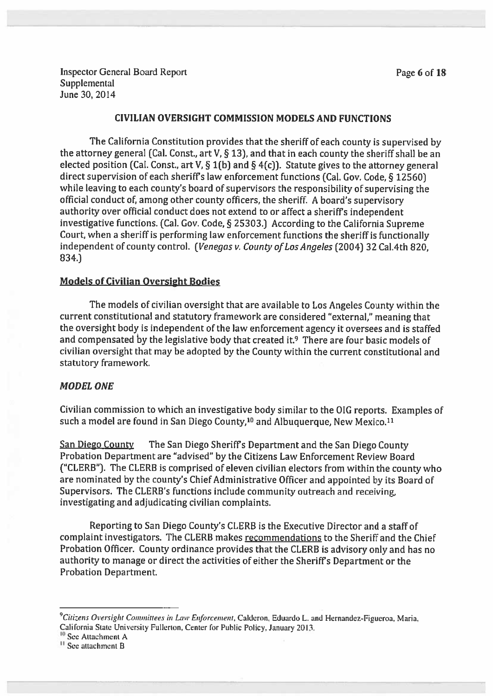Inspector General Board Report **Page 6 of 18 Supplemental** June 30, 2014

#### CIVILIAN OVERSIGHT COMMISSION MODELS AND FUNCTIONS

The California Constitution provides that the sheriff of each county is supervised by the attorney general (Cal. Const., art V,  $\S$  13), and that in each county the sheriff shall be an elected position (Cal. Const., art V, § 1(b) and § 4(c)). Statute gives to the attorney general direct supervision of each sheriffs law enforcement functions (Cal. Gov. Code, § 12560) while leaving to each county's board of supervisors the responsibility of supervising the official conduct of, among other county officers, the sheriff. <sup>A</sup> board's supervisory authority over official conduct does not extend to or affect <sup>a</sup> sheriffs independent investigative functions. (Cal. Gov. Code, § 25303.) According to the California Supreme Court, when <sup>a</sup> sheriff is performing law enforcement functions the sheriff is functionally independent of county control. (Venegas v. County of Los Angeles (2004) 32 Cal.4th 820, 834.)

#### Models of Civilian Oversight Bodies

The models of civilian oversight that are available to Los Angeles County within the current constitutional and statutory framework are considered "external," meaning that the oversight body is independent of the law enforcement agency it oversees and is staffed and compensated by the legislative body that created it.<sup>9</sup> There are four basic models of civilian oversight that may be adopted by the County within the current constitutional and statutory framework.

## MODEL ONE

Civilian commission to which an investigative body similar to the OlG reports. Examples of such a model are found in San Diego County.<sup>10</sup> and Albuquerque, New Mexico.<sup>11</sup>

San Diego County The San Diego Sheriffs Department and the San Diego County Probation Department are "advised" by the Citizens Law Enforcement Review Board ('CLERB"). The CLERB is comprised of eleven civilian electors from within the county who are nominated by the county's Chief Administrative Officer and appointed by its Board of Supervisors. The CLERB's functions include community outreach and receiving, investigating and adjudicating civilian complaints.

Reporting to San Diego County's CLERB is the Executive Director and <sup>a</sup> staff of complaint investigators. The CLERB makes recommendations to the Sheriff and the Chief Probation Officer. County ordinance provides that the CLERB is advisory only and has no authority to manage or direct the activities of either the Sheriffs Department or the Probation Department.

 $^9$ Citizens Oversight Committees in Law Enforcement, Calderon, Eduardo L. and Hernandez-Figueroa, Maria, California State University Fullerton, Center for Public Policy. January 2013.

<sup>&</sup>lt;sup>10</sup> See Attachment A

<sup>&</sup>lt;sup>11</sup> See attachment B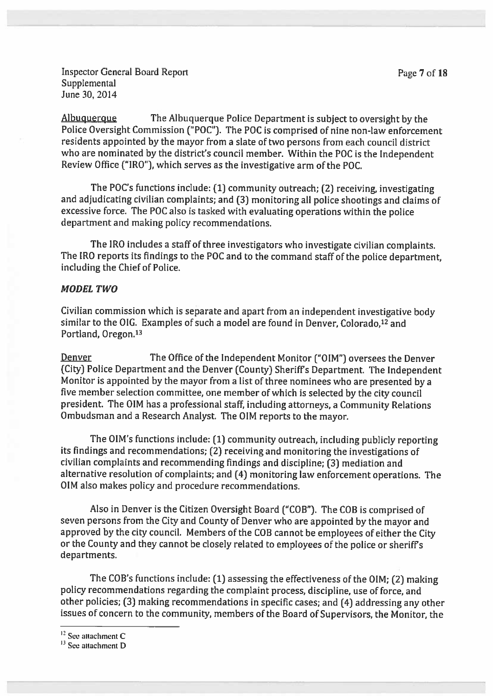Inspector General Board Report **Page 7 of 18 Supplemental** June 30, 2014

Albuquerque The Albuquerque Police Department is subject to oversight by the Police Oversight Commission ("POC'9. The POC is comprised of nine non-law enforcement residents appointed by the mayor from <sup>a</sup> slate of two persons from each council district who are nominated by the district's council member. Within the POC is the Independent Review Office ("IRO"), which serves as the investigative arm of the POC.

The POC's functions include: (1) community outreach; (2) receiving, investigating and adjudicating civilian complaints; and (3) monitoring all police shootings and claims of excessive force. The POC also is tasked with evaluating operations within the police department and making policy recommendations.

The IRO includes <sup>a</sup> staff of three investigators who investigate civilian complaints. The IRO reports its findings to the POC and to the command staff of the police department, including the Chief of Police.

### MODEL TWO

Civilian commission which is separate and apart from an independent investigative body similar to the OIG. Examples of such a model are found in Denver, Colorado,<sup>12</sup> and Portland, Oregon.<sup>13</sup>

Denver The Office of the Independent Monitor ("OIM") oversees the Denver (City) Police Department and the Denver (County) Sheriffs Department. The Independent Monitor is appointed by the mayor from <sup>a</sup> list of three nominees who are presented by <sup>a</sup> five member selection committee, one member of which is selected by the city council president. The OIM has <sup>a</sup> professional staff, including attorneys, <sup>a</sup> Community Relations Ombudsman and <sup>a</sup> Research Analyst. The OIM reports to the mayor.

The OIM's functions include: (1) community outreach, including publicly reporting its findings and recommendations; (2) receiving and monitoring the investigations of civilian complaints and recommending findings and discipline; (3) mediation and alternative resolution of complaints; and (4) monitoring law enforcement operations. The OIM also makes policy and procedure recommendations.

Also in Denver is the Citizen Oversight Board ("COB"). The COB is comprised of seven persons from the City and County of Denver who are appointed by the mayor and approved by the city council. Members of the COB cannot be employees of either the City or the County and they cannot be closely related to employees of the police or sheriffs departments.

The COB's functions include: (1) assessing the effectiveness of the OIM; (2) making policy recommendations regarding the complaint process, discipline, use of force, and other policies; (3) making recommendations in specific cases; and (4) addressing any other issues of concern to the community, members of the Board of Supervisors, the Monitor, the

 $12$  See attachment C

 $13$  See attachment D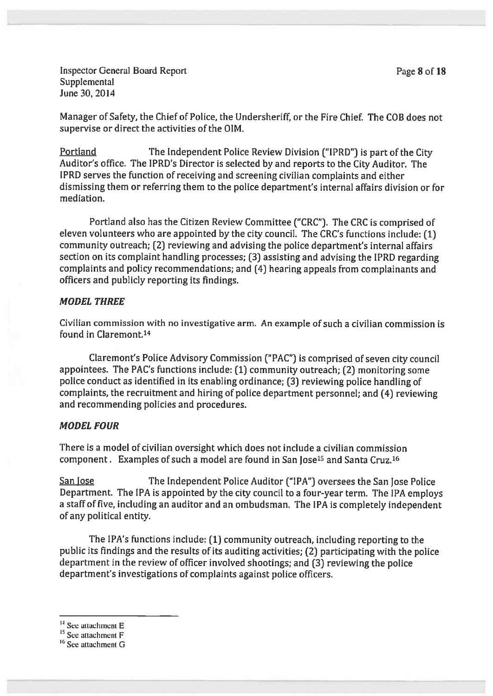Inspector General Board Report **Page 8 of 18 Supplemental** June 30, 2014

Manager of Safety, the Chief of Police, the Undersheriff, or the Fire Chief. The COB does not supervise or direct the activities of the OIM.

Portland The Independent Police Review Division ("IPRD") is part of the City Auditor's office. The IPRD's Director is selected by and reports to the City Auditor. The IPRD serves the function of receiving and screening civilian complaints and either dismissing them or referring them to the police department's internal affairs division or for mediation.

Portland also has the Citizen Review Committee ("CRC"). The CRC is comprised of eleven volunteers who are appointed by the city council. The CRC's functions include: (1) community outreach; (2) reviewing and advising the police department's internal affairs section on its complaint handling processes; (3) assisting and advising the IPRD regarding complaints and policy recommendations; and (4) hearing appeals from complainants and officers and publicly reporting its findings.

#### MODEL THREE

Civilian commission with no investigative arm. An example of such <sup>a</sup> civilian commission is found in Claremont.14

Claremont's Police Advisory Commission ("PAC") is comprised of seven city council appointees. The PAC's functions include: (1) community outreach; (2) monitoring some police conduct as identified in its enabling ordinance; (3) reviewing police handling of complaints, the recruitment and hiring of police department personnel; and (4) reviewing and recommending policies and procedures.

#### MODEL FOUR

There is <sup>a</sup> model of civilian oversight which does not include <sup>a</sup> civilian commission component. Examples of such a model are found in San Jose<sup>15</sup> and Santa Cruz.<sup>16</sup>

San Jose The Independent Police Auditor ("IPA") oversees the San Jose Police Department. The IPA is appointed by the city council to <sup>a</sup> four-year term. The IPA employs <sup>a</sup> staff of five, including an auditor and an ombudsman. The IPA is completely independent of any political entity.

The IPA's functions include: (1) community outreach, including reporting to the public its findings and the results of its auditing activities; (2) participating with the police department in the review of officer involved shootings; and (3) reviewing the police department's investigations of complaints against police officers.

<sup>&</sup>lt;sup>14</sup> See attachment E

 $15$  See attachment F

<sup>&</sup>lt;sup>16</sup> See attachment G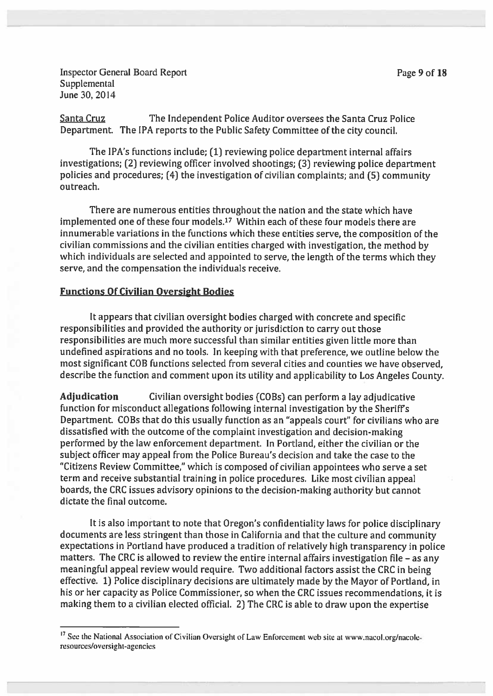Inspector General Board Report **Page 9 of 18 Supplemental** June 30, 2014

Santa Cruz The Independent Police Auditor oversees the Santa Cruz Police Department. The IPA reports to the Public Safety Committee of the city council.

The IPA's functions include; (1) reviewing police department internal affairs investigations; (2) reviewing officer involved shootings; (3) reviewing police department policies and procedures; (4) the investigation of civilian complaints; and (5) community outreach.

There are numerous entities throughout the nation and the state which have implemented one of these four models.17 Within each of these four models there are innumerable variations in the functions which these entities serve, the composition of the civilian commissions and the civilian entities charged with investigation, the method by which individuals are selected and appointed to serve, the length of the terms which they serve, and the compensation the individuals receive.

### Functions Of Civilian Oversight Bodies

It appears that civilian oversight bodies charged with concrete and specific responsibilities and provided the authority or jurisdiction to carry out those responsibilities are much more successful than similar entities <sup>g</sup>iven little more than undefined aspirations and no tools. In keeping with that preference, we outline below the most significant COB functions selected from several cities and counties we have observed, describe the function and comment upon its utility and applicability to Los Angeles County.

Adjudication Civilian oversight bodies (COBs) can perform <sup>a</sup> lay adjudicative function for misconduct allegations following internal investigation by the Sheriffs Department. COBs that do this usually function as an "appeals court" for civilians who are dissatisfied with the outcome of the complaint investigation and decision-making performed by the law enforcement department. In Portland, either the civilian or the subject officer may appeal from the Police Bureau's decision and take the case to the 'Citizens Review Committee," which is composed of civilian appointees who serve <sup>a</sup> set term and receive substantial training in police procedures. Like most civilian appeal boards, the CRC issues advisory opinions to the decision-making authority but cannot dictate the final outcome.

It is also important to note that Oregon's confidentiality laws for police disciplinary documents are less stringent than those in California and that the culture and community expectations in Portland have produced <sup>a</sup> tradition of relatively high transparency in police matters. The CRC is allowed to review the entire internal affairs investigation file — as any meaningful appea<sup>l</sup> review would require. Two additional factors assist the CRC in being effective. 1) Police disciplinary decisions are ultimately made by the Mayor of Portland, in his or her capacity as Police Commissioner, so when the CRC issues recommendations, it is making them to <sup>a</sup> civilian elected official. 2) The CRC is able to draw upon the expertise

<sup>17</sup> See the National Association of Civilian Oversight of Law Enforcement web site at www.nacol.org/nacoleresources/oversight-agencies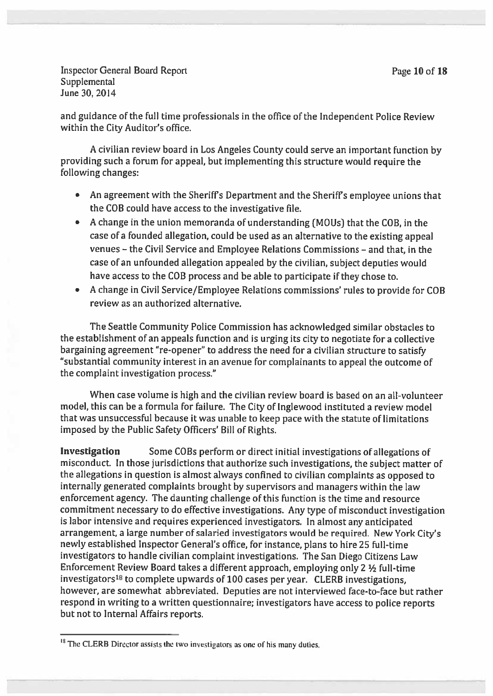Inspector General Board Report **Page 10 of 18** Supplemental June 30. 2014

and guidance of the full time professionals in the office of the Independent Police Review within the City Auditor's office.

<sup>A</sup> civilian review board in Los Angeles County could serve an important function by providing such <sup>a</sup> forum for appeal, but implementing this structure would require the following changes:

- An agreemen<sup>t</sup> with the Sheriffs Department and the Sheriffs employee unions that the COB could have access to the investigative file.
- A change in the union memoranda of understanding (MOUs) that the COB, in the case of a founded allegation, could be used as an alternative to the existing appeal venues — the Civil Service and Employee Relations Commissions — and that in the case of an unfounded allegation appealed by the civilian, subject deputies would have access to the COB process and be able to participate if they chose to.
- • <sup>A</sup> change in Civil Service/Employee Relations commissions' rules to provide for COB review as an authorized alternative.

The Seattle Community Police Commission has acknowledged similar obstacles to the establishment of an appeals function and is urging its city to negotiate for a collective bargaining agreemen<sup>t</sup> "re-opener' to address the need for <sup>a</sup> civilian structure to satisfy "substantial community interest in an avenue for complainants to appeal the outcome of the complaint investigation process."

When case volume is high and the civilian review board is based on an all-volunteer model, this can be <sup>a</sup> formula for failure. The City of lnglewood instituted <sup>a</sup> review model that was unsuccessful because it was unable to keep pace with the statute of limitations imposed by the Public Safety Officers' Bill of Rights.

Investigation Some COBs perform or direct initial investigations of allegations of misconduct. In those jurisdictions that authorize such investigations, the subject matter of the allegations in question is almost always confined to civilian complaints as oppose<sup>d</sup> to internally generated complaints brought by supervisors and managers within the law enforcement agency. The daunting challenge of this function is the time and resource commitment necessary to do effective investigations. Any type of misconduct investigation is labor intensive and requires experienced investigators. In almost any anticipated arrangement, <sup>a</sup> large number of salaried investigators would be required. New York City's newly established Inspector General's office, for instance, <sup>p</sup>lans to hire <sup>25</sup> full-time investigators to handle civilian complaint investigations. The San Diego Citizens Law Enforcement Review Board takes <sup>a</sup> different approach, employing only <sup>2</sup> <sup>½</sup> full-time investigators18 to complete upwards of <sup>100</sup> cases per year. CLERB investigations, however, are somewhat abbreviated. Deputies are not interviewed face-to-face but rather respon<sup>d</sup> in writing to <sup>a</sup> written questionnaire; investigators have access to police reports but not to Internal Affairs reports.

 $<sup>18</sup>$  The CLERB Director assists the two investigators as one of his many duties.</sup>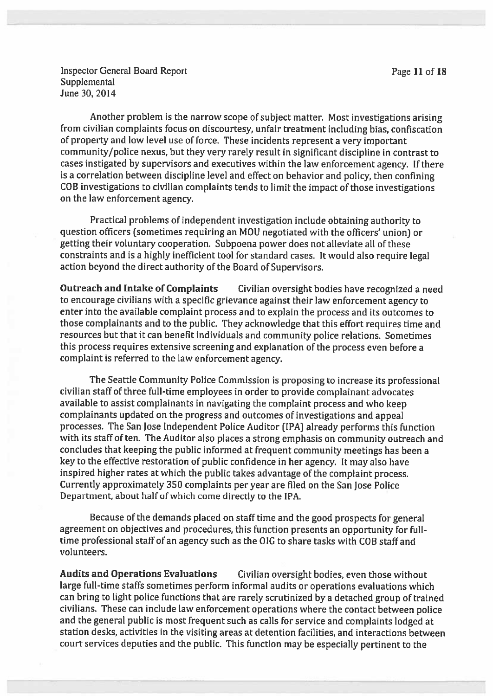Inspector General Board Report **Page 11 of 18 Supplemental** June 30, 2014

Another problem is the narrow scope of subject matter. Most investigations arising from civilian complaints focus on discourtesy, unfair treatment including bias, confiscation of property and low level use of force. These incidents represent <sup>a</sup> very important community/police nexus, but they very rarely result in significant discipline in contrast to cases instigated by supervisors and executives within the law enforcement agency. If there is <sup>a</sup> correlation between discipline level and effect on behavior and policy, then confining COB investigations to civilian complaints tends to limit the impact of those investigations on the lav enforcement agency.

Practical problems of independent investigation include obtaining authority to question officers (sometimes requiring an MOU negotiated with the officers' union) or getting their voluntary cooperation. Subpoena power does not alleviate all of these constraints and is <sup>a</sup> highly inefficient tool for standard cases. It would also require legal action beyond the direct authority of the Board of Supervisors.

Outreach and Intake of Complaints Civilian oversight bodies have recognized <sup>a</sup> need to encourage civilians with <sup>a</sup> specific grievance against their law enforcement agency to enter into the available complaint process and to explain the process and its outcomes to those complainants and to the public. They acknowledge that this effort requires time and resources but that it can benefit individuals and community police relations. Sometimes this process requires extensive screening and explanation of the process even before <sup>a</sup> complaint is referred to the law enforcement agency.

The Seattle Community Police Commission is proposing to increase its professional civilian staff of three full-time employees in order to provide complainant advocates available to assist complainants in navigating the complaint process and who keep complainants updated on the progress and outcomes of investigations and appea<sup>l</sup> processes. The San Jose Independent Police Auditor (IPA) already performs this function with its staff of ten. The Auditor also <sup>p</sup>laces <sup>a</sup> strong emphasis on community outreach and concludes that keeping the public informed at frequent community meetings has been <sup>a</sup> key to the effective restoration of public confidence in her agency. It may also have inspired higher rates at which the public takes advantage of the complaint process. Currently approximately 350 complaints per year are filed an the San Jose Police Department, about half of which come directly to the IPA.

Because of the demands <sup>p</sup>laced on staff time and the goo<sup>d</sup> prospects for genera<sup>l</sup> agreemen<sup>t</sup> on objectives and procedures, this function presents an opportunity for fulltime professional staff of an agency such as the OIG to share tasks with COB staff and volunteers.

Audits and Operations Evaluations Civilian oversight bodies, even those without large full-time staffs sometimes perform informal audits or operations evaluations which can bring to light police functions that are rarely scrutinized by <sup>a</sup> detached group of trained civilians. These can include law enforcement operations where the contact between police and the genera<sup>l</sup> public is most frequent such as calls for service and complaints lodged at station desks, activities in the visiting areas at detention facilities, and interactions between court services deputies and the public. This function may be especially pertinent to the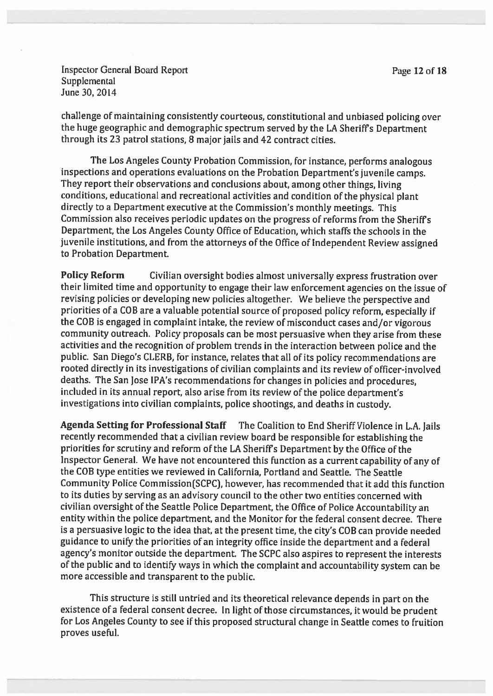Inspector General Board Report **Page 12 of 18** Supplemental June 30, 2014

challenge of maintaining consistently courteous, constitutional and unbiased policing over the huge geographic and demographic spectrum served by the LA Sheriffs Department through its 23 patrol stations, 8 major jails and <sup>42</sup> contract cities.

The Los Angeles County Probation Commission, for instance, performs analogous inspections and operations evaluations on the Probation Department's juvenile camps. They report their observations and conclusions about, among other things, living conditions, educational and recreational activities and condition of the <sup>p</sup>hysical <sup>p</sup>lant directly to <sup>a</sup> Department executive at the Commission's monthly meetings. This Commission also receives periodic updates on the progress of reforms from the Sheriffs Department, the Los Angeles County Office of Education, which staffs the schools in the juvenile institutions, and from the attorneys of the Office of Independent Review assigned to Probation Department.

Policy Reform Civilian oversight bodies almost universally express frustration over their limited time and opportunity to engage their law enforcement agencies on the issue of revising policies or developing new policies altogether. We believe the perspective and priorities of <sup>a</sup> COB are <sup>a</sup> valuable potential source of propose<sup>d</sup> policy reform, especially if the COB is engage<sup>d</sup> in complaint intake, the review of misconduct cases and/or vigorous community outreach. Policy proposals can be most persuasive when they arise from these activities and the recognition of problem trends in the interaction between police and the public. San Diego's CLERB, for instance, relates that all of its policy recommendations are rooted directly in its investigations of civilian complaints and its review of officer-involved deaths. The San Jose IPA's recommendations for changes in policies and procedures, included in its annual report, also arise from its review of the police department's investigations into civilian complaints, police shootings, and deaths in custody.

Agenda Setting for Professional Staff The Coalition to End Sheriff Violence in L.A. Jails recently recommended that <sup>a</sup> civilian review board be responsible for establishing the priorities for scrutiny and reform of the LA Sheriffs Department by the Office of the Inspector General. We have not encountered this function as <sup>a</sup> current capability of any of the COB type entities we reviewed in California, Portland and Seattle. The Seattle Community Police Commission(SCPCJ, however, has recommended that it add this function to its duties by serving as an advisory council to the other two entities concerned with civilian oversight of the Seattle Police Department, the Office of Police Accountability an entity within the police department, and the Monitor for the federal consent decree. There is a persuasive logic to the idea that, at the present time, the city's COB can provide needed guidance to unify the priorities of an integrity office inside the department and <sup>a</sup> federal agency's monitor outside the department. The SCPC also aspires to represent the interests of the public and to identify ways in which the complaint and accountability system can be more accessible and transparent to the public.

This structure is still untried and its theoretical relevance depends in par<sup>t</sup> on the existence of <sup>a</sup> federal consent decree. In light of those circumstances, it would be prudent for Los Angeles County to see if this propose<sup>d</sup> structural change in Seattle comes to fruition proves useful.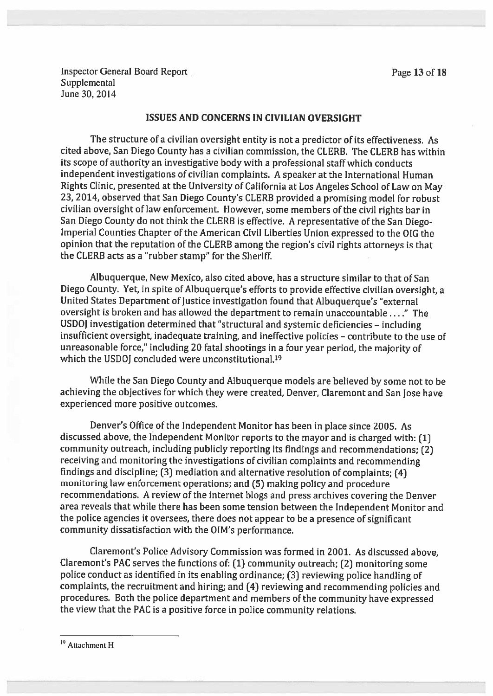Inspector General Board Report Page 13 of 18 **Supplemental** June 30, 2014

#### ISSUES AND CONCERNS IN CIVILIAN OVERSIGHT

The structure of <sup>a</sup> civilian oversight entity is not <sup>a</sup> predictor of its effectiveness. As cited above, San Diego County has <sup>a</sup> civilian commission, the CLERB. The CLERB has within its scope of authority an investigative body with <sup>a</sup> professional staff which conducts independent investigations of civilian complaints. <sup>A</sup> speaker at the International Human Rights Clinic, presented at the University of California at Los Angeles School of Law on May 23, 2014, observed that San Diego County's CLERB provided a promising model for robust civilian oversight of law enforcement. However, some members of the civil rights bar in San Diego County do not think the CLERB is effective. <sup>A</sup> representative of the San Diego Imperial Counties Chapter of the American Civil Liberties Union expresse<sup>d</sup> to the OIG the opinion that the reputation of the CLERB among the region's civil rights attorneys is that the CLERE acts as <sup>a</sup> "rubber stamp" for the Sheriff.

Albuquerque, New Mexico, also cited above, has <sup>a</sup> structure similar to that of San Diego County. Yet, in spite of Albuquerque's efforts to provide effective civilian oversight, a United States Department of Justice investigation found that Albuquerque's "external oversight is broken and has allowed the department to remain unaccountable  $\dots$ ." The USDOJ investigation determined that "structural and systemic deficiencies - including insufficient oversight, inadequate training, and ineffective policies — contribute to the use of unreasonable force," including <sup>20</sup> fatal shootings in <sup>a</sup> four year period, the majority of which the USDOI concluded were unconstitutional.<sup>19</sup>

While the San Diego County and Albuquerque models are believed by some not to be achieving the objectives for which they were created, Denver, Claremont and San Jose have experienced more positive outcomes.

Denver's Office of the Independent Monitor has been in <sup>p</sup>lace since 2005. As discussed above, the Independent Monitor reports to the mayor and is charged with: (1] community outreach, including publicly reporting its findings and recommendations; (2) receiving and monitoring the investigations of civilian complaints and recommending findings and discipline; [3) mediation and alternative resolution of complaints; (4) monitoring law enforcement operations; and (5) making policy and procedure recommendations. <sup>A</sup> review of the internet blogs and press archives covering the Denver area reveals that while there has been some tension between the Independent Monitor and the police agencies it oversees, there does not appear to be <sup>a</sup> presence of significant community dissatisfaction with the OIM's performance.

Claremont's Police Advisory Commission was formed in 2001. As discussed above, Claremont's PAC serves the functions of: (1) community outreach; [2) monitoring some police conduct as identified in its enabling ordinance; (3) reviewing poilce handling of complaints, the recruitment and hiring; and (4) reviewing and recommending policies and procedures. Both the police department and members of the community have expresse<sup>d</sup> the view that the PAC is <sup>a</sup> positive force in police community relations.

<sup>&</sup>lt;sup>19</sup> Attachment H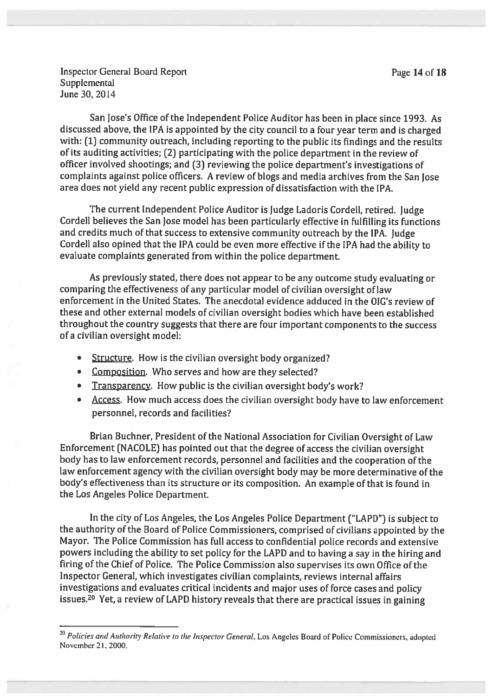Inspector General Board Report **Page 14 of 18 Supplemental** June 30, 2014

San Jose's Office of the Independent Police Auditor has been in <sup>p</sup>lace since 1993. As discussed above, the IPA is appointed by the city council to <sup>a</sup> four year term and is charged with: (1) community outreach, including reporting to the public its findings and the results of its auditing activities; (2) participating with the police department in the review of officer involved shootings; and (3) reviewing the police department's investigations of complaints against police officers. <sup>A</sup> review of blogs and media archives from the San Jose area does not yield any recent public expression of dissatisfaction with the IPA.

The current Independent Police Auditor is Judge Ladoris Cordell, retired. Judge Cordell believes the San Jose model has been particularly effective in fulfilling its functions and credits much of that success to extensive community outreach by the IPA. Judge Cordell also opined that the IPA could be even more effective if the IPA had the ability to evaluate complaints generated from within the police department.

As previously stated, there does not appear to be any outcome study evaluating or comparing the effectiveness of any particular model of civilian oversight of law enforcement in the United States. The anecdotal evidence adduced in the OlG's review of these and other external models of civilian oversight bodies which have been established throughout the country suggests that there are four important components to the success of <sup>a</sup> civilian oversight model:

- •Structure. How is the civilian oversight body organized?
- Composition. Who serves and how are they selected?
- •Transparency. How public is the civilian oversight body's work?
- Access. How much access does the civilian oversight body have to law enforcement personnel, records and facilities?

Brian Buchner, President of the National Association for Civilian Oversight of Law Enforcement (NACOLE) has pointed out that the degree of access the civilian oversight body has to law enforcement records, personne<sup>l</sup> and facilities and the cooperation of the law enforcement agency with the civilian oversight body may be more determinative of the body's effectiveness than its structure or its composition. An example of that is found in the Los Angeles Police Department.

In the city of Los Angeles, the Los Angeles Police Department ("LAPD") is subject to the authority of the Board of Police Commissioners, comprised of civilians appointed by the Mayor. The Police Commission has full access to confidential police records and extensive powers including the ability to set policy for the LAPD and to having <sup>a</sup> say in the hiring and firing of the Chief of Police. The Police Commission also supervises its own Office of the Inspector General, which investigates civilian complaints, reviews internal affairs investigations and evaluates critical incidents and major uses of force cases and policy issues.2° Yet, <sup>a</sup> review of LAPD history reveals that there are practical issues in gaining

<sup>&</sup>lt;sup>20</sup> Policies and Authority Relative to the Inspector General, Los Angeles Board of Police Commissioners, adopted November 21, 2000,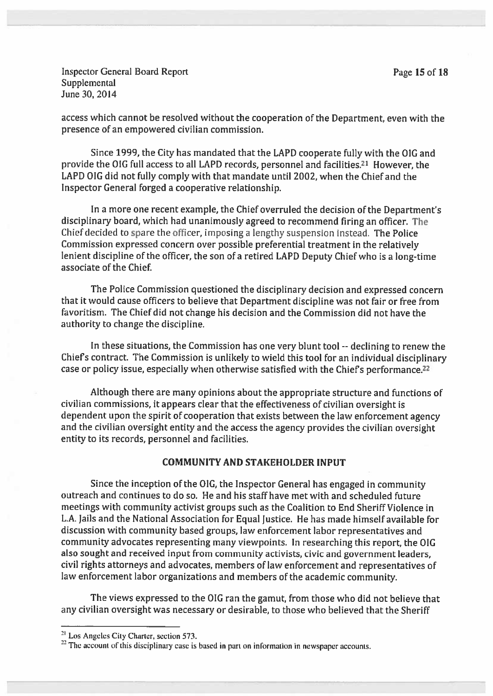Inspector General Board Report **Page 15 of 18 Supplemental** June 30, 2014

access which cannot be resolved without the cooperation of the Department, even with the presence of an empowered civilian commission.

Since 1999, the City has mandated that the LAPD cooperate fully with the OIG and provide the OIG full access to all LAPD records, personnel and facilities.21 However, the LAPD OIG did not fully comply with that mandate until 2002, when the Chief and the Inspector General forged <sup>a</sup> cooperative relationship.

In <sup>a</sup> more one recent example, the Chief overruled the decision of the Department's disciplinary board, which had unanimously agreed to recommend firing an officer. The Chief decided to spare the officer, imposing <sup>a</sup> lengthy suspension instead. The Police Commission expresse<sup>d</sup> concern over possible preferential treatment in the relatively lenient discipline of the officer, the son of <sup>a</sup> retired LAPD Deputy Chief who is <sup>a</sup> long-time associate of the Chief.

The Police Commission questioned the disciplinary decision and expresse<sup>d</sup> concern that it would cause officers to believe that Department discipline was not fair or free from favoritism. The Chief did not change his decision and the Commission did not have the authority to change the discipline.

In these situations, the Commission has one very blunt tool -- declining to renew the Chiefs contract. The Commission is unlikely to wield this tool for an individual disciplinary case or policy issue, especially when otherwise satisfied with the Chief's performance.<sup>22</sup>

Although there are many opinions about the appropriate structure and functions of civilian commissions, it appears clear that the effectiveness of civilian oversight is dependent upon the spirit of cooperation that exists between the law enforcement agency and the civilian oversight entity and the access the agency provides the civilian oversight entity to its records, personnel and facilities.

#### COMMUNITY AND STAKEHOLDER INPUT

Since the inception of the OlG, the Inspector General has engaged in community outreach and continues to do so. He and his staff have met with and scheduled future meetings with community activist groups such as the Coalition to End Sheriff Violence in L.A. Jails and the National Association for Equal Justice. He has made himself available for discussion with community based groups, law enforcement labor representatives and community advocates representing many viewpoints. In researching this report, the OIG also sought and received input from community activists, civic and governmen<sup>t</sup> leaders, civil rights attorneys and advocates, members of law enforcement and representatives of law enforcement labor organizations and members of the academic community.

The views expressed to the OIG ran the gamut, from those who did not believe that any civilian oversight was necessary or desirable, to those who believed that the Sheriff

<sup>&</sup>lt;sup>21</sup> Los Angeles City Charter, section 573.

 $22$  The account of this disciplinary case is based in part on information in newspaper accounts.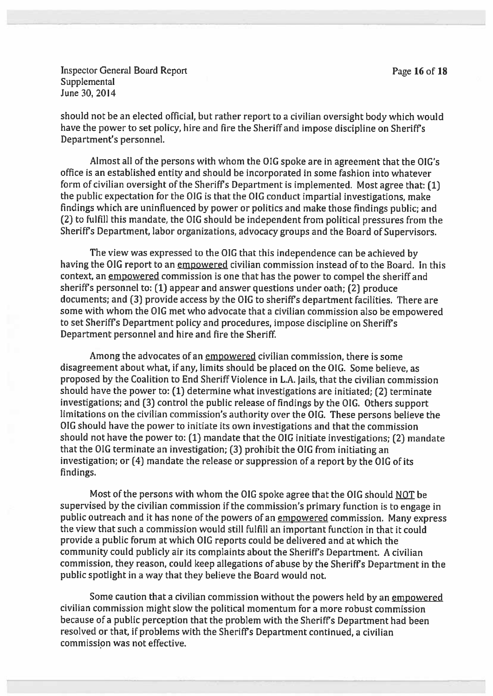Inspector General Board Report **Page 16 of 18 Supplemental** June 30, 2014

should not be an elected official, but rather repor<sup>t</sup> to <sup>a</sup> civilian oversight body which would have the power to set policy, hire and fire the Sheriff and impose discipline on Sheriff's Department's personnel.

Almost all of the persons with whom the OlG spoke are in agreemen<sup>t</sup> that the OlG's office is an established entity and should be incorporated in some fashion into whatever form of civilian oversight of the Sheriff's Department is implemented. Most agree that: [1] the public expectation for the OIG is that the OIG conduct impartial investigations, make findings which are uninfluenced by power or politics and make those findings public; and (2) to fulfill this mandate, the 010 should be independent from political pressures from the Sheriff's Department, labor organizations, advocacy groups and the Board of Supervisors.

The view was expressed to the OIG that this independence can be achieved by having the OIG report to an empowered civilian commission instead of to the Board. In this context, an empowered commission is one that has the power to compel the sheriff and sheriffs personne<sup>l</sup> to: (1) appear and answer questions under oath; (2) produce documents; and (3) provide access by the 01G to sheriffs department facilities. There are some with whom the 010 met who advocate that <sup>a</sup> civilian commission also be empowered to set Sheriffs Department policy and procedures, impose discipline on Sheriffs Department personnel and hire and fire the Sheriff.

Among the advocates of an empowered civilian commission, there is some disagreement about what, if any, limits should be placed on the OIG. Some believe, as proposed by the Coalition to End Sheriff Violence in L.A. Jails, that the civilian commission should have the power to: (1) determine what investigations are initiated; (2) terminate investigations; and (3) control the public release of findings by the 01G. Others suppor<sup>t</sup> limitations on the civilian commission's authority over the 01G. These persons believe the OIG should have the power to initiate its own investigations and that the commission should not have the power to: (1) mandate that the 010 initiate investigations; (2) mandate that the OIG terminate an investigation; (3) prohibit the OIG from initiating an investigation; or (4) mandate the release or suppression of <sup>a</sup> repor<sup>t</sup> by the OIG of its findings.

Most of the persons with whom the OIG spoke agree that the OIG should NOT be supervised by the civilian commission if the commission's primary function is to engage in public outreach and it has none of the powers of an empowere<sup>d</sup> commission. Many express the view that such <sup>a</sup> commission would still fulfill an important function in that it could provide <sup>a</sup> public forum at which 010 reports could be delivered and at which the community could publicly air its complaints about the Sheriff's Department. <sup>A</sup> civilian commission, they reason, could keep allegations of abuse by the Sheriffs Department in the public spotlight in <sup>a</sup> way that they believe the Board would not.

Some caution that a civilian commission without the powers held by an empowered civilian commission might slow the political momentum for <sup>a</sup> more robust commission because of <sup>a</sup> public perception that the problem with the Sheriffs Department had been resolved or that, if problems with the Sheriffs Department continued, <sup>a</sup> civilian commission was not effective.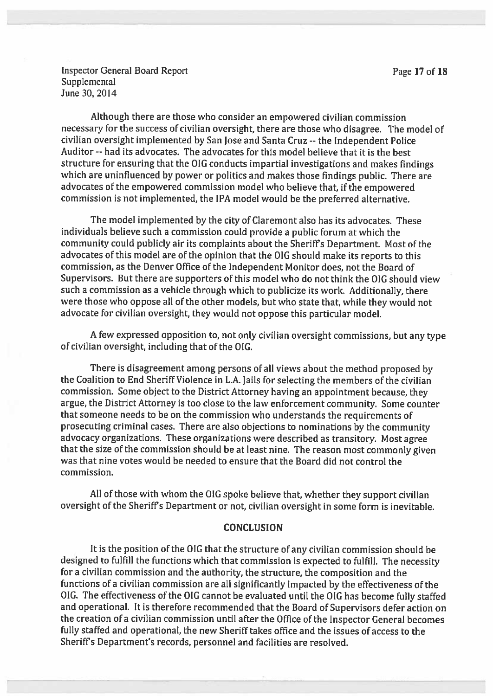Inspector General Board Report **Page 17 of 18 Supplemental** June 30, 2014

Although there are those who consider an empowered civilian commission necessary for the success of civilian oversight, there are those who disagree. The model of civilian oversight implemented by San lose and Santa Cruz -- the Independent Police Auditor--had its advocates. The advocates for this model believe that it is the best structure for ensuring that the OIG conducts impartial investigations and makes findings which are uninfluenced by power or politics and makes those findings public. There are advocates of the empowere<sup>d</sup> commission model who believe that, if the empowere<sup>d</sup> commission is not implemented, the IPA model would be the preferred alternative.

The model implemented by the city of Claremont also has its advocates. These individuals believe such <sup>a</sup> commission could provide <sup>a</sup> public forum at which the community could publicly air its complaints about the Sheriffs Department. Most of the advocates of this model are of the opinion that the OIG should make its reports to this commission, as the Denver Office of the Independent Monitor does, not the Board of Supervisors. But there are supporters of this model who do not think the OIG should view such <sup>a</sup> commission as <sup>a</sup> vehicle through which to publicize its work. Additionally, there were those who oppose all of the other models, but who state that, while they would not advocate for civilian oversight, they would not oppose this particular model.

<sup>A</sup> few expresse<sup>d</sup> opposition to, not only civilian oversight commissions, but any type of civilian oversight, including that of the 010.

There is disagreement among persons of all views about the method propose<sup>d</sup> by the Coalition to End Sheriff Violence in L.A. Jails for selecting the members of the civilian commission. Some object to the District Attorney having an appointment because, they argue, the District Attorney is too close to the law enforcement community. Some counter that someone needs to be on the commission who understands the requirements of prosecuting criminal cases. There are also objections to nominations by the community advocacy organizations. These organizations were described as transitory. Most agree that the size of the commission should be at least nine. The reason most commonly <sup>g</sup>iven was that nine votes would be needed to ensure that the Board did not control the commission.

All of those with whom the OIG spoke believe that, whether they support civilian oversight of the Sheriff's Department or not, civilian oversight in some form is inevitable.

#### **CONCLUSION**

It is the position of the OIG that the structure of any civilian commission should be designed to fulfill the functions which that commission is expected to fulfill. The necessity for <sup>a</sup> civilian commission and the authority, the structure, the composition and the functions of <sup>a</sup> civilian commission are all significantly impacted by the effectiveness of the 010. The effectiveness of the <sup>010</sup> cannot be evaluated until the <sup>010</sup> has become fully staffed and operational. It is therefore recommended that the Board of Supervisors defer action on the creation of <sup>a</sup> civilian commission until after the Office of the Inspector General becomes fully staffed and operational, the new Sheriff takes office and the issues of access to the Sheriffs Department's records, personnel and facilities are resolved.